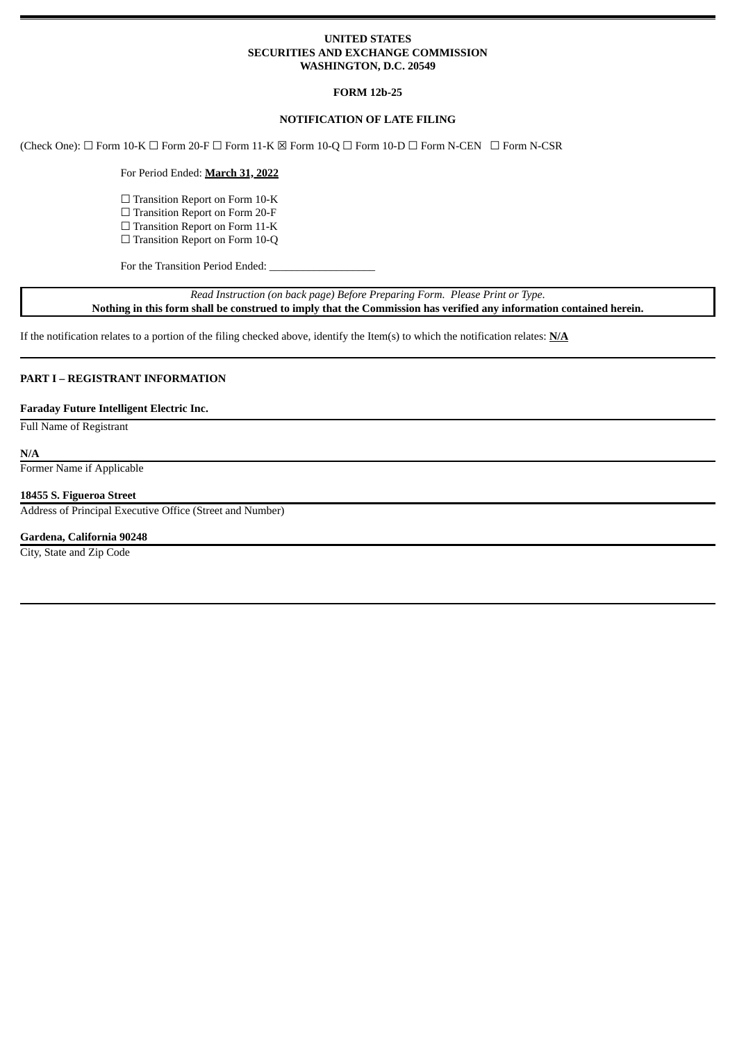### **UNITED STATES SECURITIES AND EXCHANGE COMMISSION WASHINGTON, D.C. 20549**

### **FORM 12b-25**

# **NOTIFICATION OF LATE FILING**

(Check One):  $\Box$  Form 10-K  $\Box$  Form 20-F  $\Box$  Form 11-K  $\boxtimes$  Form 10-Q  $\Box$  Form N-CEN  $\Box$  Form N-CSR

For Period Ended: **March 31, 2022**

□ Transition Report on Form 10-K

☐ Transition Report on Form 20-F

 $\Box$  Transition Report on Form 11-K ☐ Transition Report on Form 10-Q

For the Transition Period Ended:

*Read Instruction (on back page) Before Preparing Form. Please Print or Type*. Nothing in this form shall be construed to imply that the Commission has verified any information contained herein.

If the notification relates to a portion of the filing checked above, identify the Item(s) to which the notification relates: **N/A**

## **PART I – REGISTRANT INFORMATION**

## **Faraday Future Intelligent Electric Inc.**

Full Name of Registrant

**N/A**

Former Name if Applicable

#### **18455 S. Figueroa Street**

Address of Principal Executive Office (Street and Number)

### **Gardena, California 90248**

City, State and Zip Code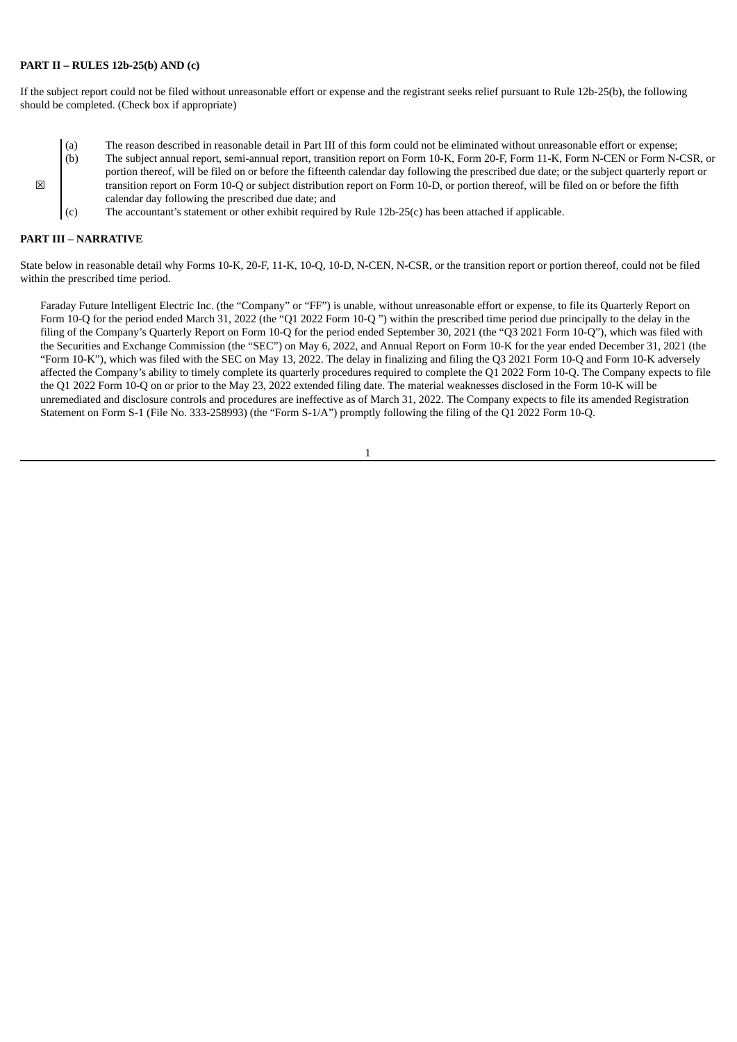#### **PART II – RULES 12b-25(b) AND (c)**

If the subject report could not be filed without unreasonable effort or expense and the registrant seeks relief pursuant to Rule 12b-25(b), the following should be completed. (Check box if appropriate)

- (a) The reason described in reasonable detail in Part III of this form could not be eliminated without unreasonable effort or expense;
- (b) The subject annual report, semi-annual report, transition report on Form 10-K, Form 20-F, Form 11-K, Form N-CEN or Form N-CSR, or portion thereof, will be filed on or before the fifteenth calendar day following the prescribed due date; or the subject quarterly report or transition report on Form 10-Q or subject distribution report on Form 10-D, or portion thereof, will be filed on or before the fifth calendar day following the prescribed due date; and
- (c) The accountant's statement or other exhibit required by Rule 12b-25(c) has been attached if applicable.

### **PART III – NARRATIVE**

 $\overline{\mathsf{x}}$ 

State below in reasonable detail why Forms 10-K, 20-F, 11-K, 10-Q, 10-D, N-CEN, N-CSR, or the transition report or portion thereof, could not be filed within the prescribed time period.

Faraday Future Intelligent Electric Inc. (the "Company" or "FF") is unable, without unreasonable effort or expense, to file its Quarterly Report on Form 10-Q for the period ended March 31, 2022 (the "Q1 2022 Form 10-Q ") within the prescribed time period due principally to the delay in the filing of the Company's Quarterly Report on Form 10-Q for the period ended September 30, 2021 (the "Q3 2021 Form 10-Q"), which was filed with the Securities and Exchange Commission (the "SEC") on May 6, 2022, and Annual Report on Form 10-K for the year ended December 31, 2021 (the "Form 10-K"), which was filed with the SEC on May 13, 2022. The delay in finalizing and filing the Q3 2021 Form 10-Q and Form 10-K adversely affected the Company's ability to timely complete its quarterly procedures required to complete the Q1 2022 Form 10-Q. The Company expects to file the Q1 2022 Form 10-Q on or prior to the May 23, 2022 extended filing date. The material weaknesses disclosed in the Form 10-K will be unremediated and disclosure controls and procedures are ineffective as of March 31, 2022. The Company expects to file its amended Registration Statement on Form S-1 (File No. 333-258993) (the "Form S-1/A") promptly following the filing of the Q1 2022 Form 10-Q.

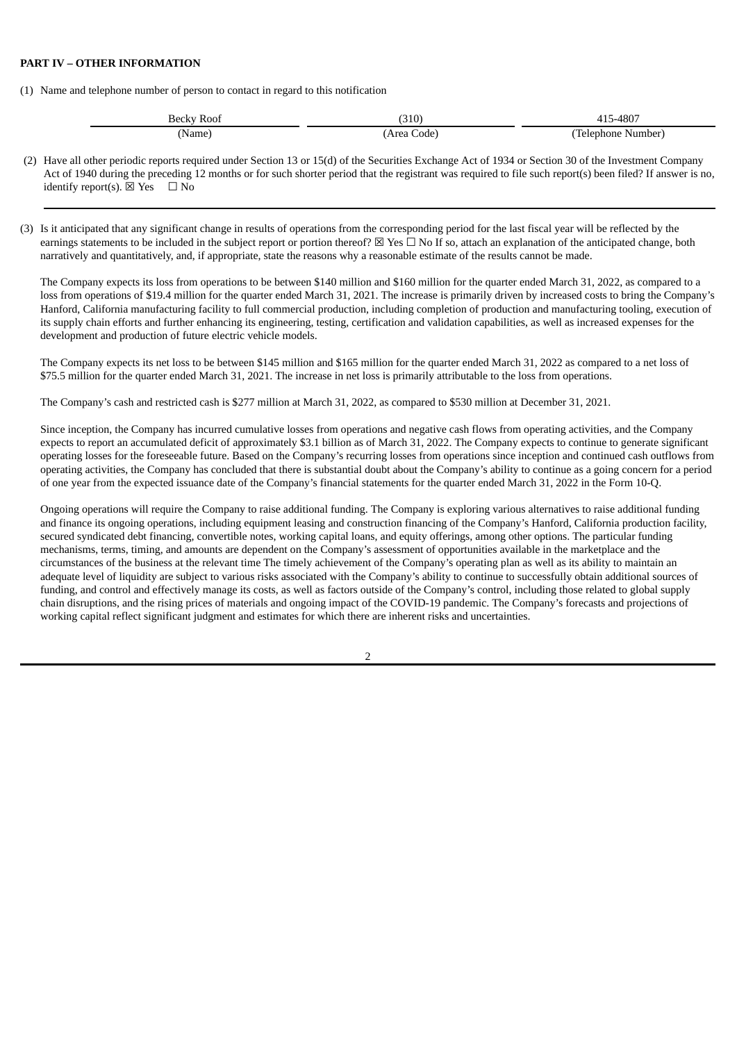## **PART IV – OTHER INFORMATION**

(1) Name and telephone number of person to contact in regard to this notification

| Becky<br>Roof<br>$ -$ | 310                               | $-480^-$<br>$-$<br>$ -$           |
|-----------------------|-----------------------------------|-----------------------------------|
| Name                  | $1$ MO $\sim$<br>.ode<br>TP.<br>. | Number)<br>elenhone<br>$-$<br>___ |

- (2) Have all other periodic reports required under Section 13 or 15(d) of the Securities Exchange Act of 1934 or Section 30 of the Investment Company Act of 1940 during the preceding 12 months or for such shorter period that the registrant was required to file such report(s) been filed? If answer is no, identify report(s).  $\boxtimes$  Yes  $\Box$  No
- (3) Is it anticipated that any significant change in results of operations from the corresponding period for the last fiscal year will be reflected by the earnings statements to be included in the subject report or portion thereof?  $\boxtimes$  Yes  $\Box$  No If so, attach an explanation of the anticipated change, both narratively and quantitatively, and, if appropriate, state the reasons why a reasonable estimate of the results cannot be made.

The Company expects its loss from operations to be between \$140 million and \$160 million for the quarter ended March 31, 2022, as compared to a loss from operations of \$19.4 million for the quarter ended March 31, 2021. The increase is primarily driven by increased costs to bring the Company's Hanford, California manufacturing facility to full commercial production, including completion of production and manufacturing tooling, execution of its supply chain efforts and further enhancing its engineering, testing, certification and validation capabilities, as well as increased expenses for the development and production of future electric vehicle models.

The Company expects its net loss to be between \$145 million and \$165 million for the quarter ended March 31, 2022 as compared to a net loss of \$75.5 million for the quarter ended March 31, 2021. The increase in net loss is primarily attributable to the loss from operations.

The Company's cash and restricted cash is \$277 million at March 31, 2022, as compared to \$530 million at December 31, 2021.

Since inception, the Company has incurred cumulative losses from operations and negative cash flows from operating activities, and the Company expects to report an accumulated deficit of approximately \$3.1 billion as of March 31, 2022. The Company expects to continue to generate significant operating losses for the foreseeable future. Based on the Company's recurring losses from operations since inception and continued cash outflows from operating activities, the Company has concluded that there is substantial doubt about the Company's ability to continue as a going concern for a period of one year from the expected issuance date of the Company's financial statements for the quarter ended March 31, 2022 in the Form 10-Q.

Ongoing operations will require the Company to raise additional funding. The Company is exploring various alternatives to raise additional funding and finance its ongoing operations, including equipment leasing and construction financing of the Company's Hanford, California production facility, secured syndicated debt financing, convertible notes, working capital loans, and equity offerings, among other options. The particular funding mechanisms, terms, timing, and amounts are dependent on the Company's assessment of opportunities available in the marketplace and the circumstances of the business at the relevant time The timely achievement of the Company's operating plan as well as its ability to maintain an adequate level of liquidity are subject to various risks associated with the Company's ability to continue to successfully obtain additional sources of funding, and control and effectively manage its costs, as well as factors outside of the Company's control, including those related to global supply chain disruptions, and the rising prices of materials and ongoing impact of the COVID-19 pandemic. The Company's forecasts and projections of working capital reflect significant judgment and estimates for which there are inherent risks and uncertainties.

 $\overline{2}$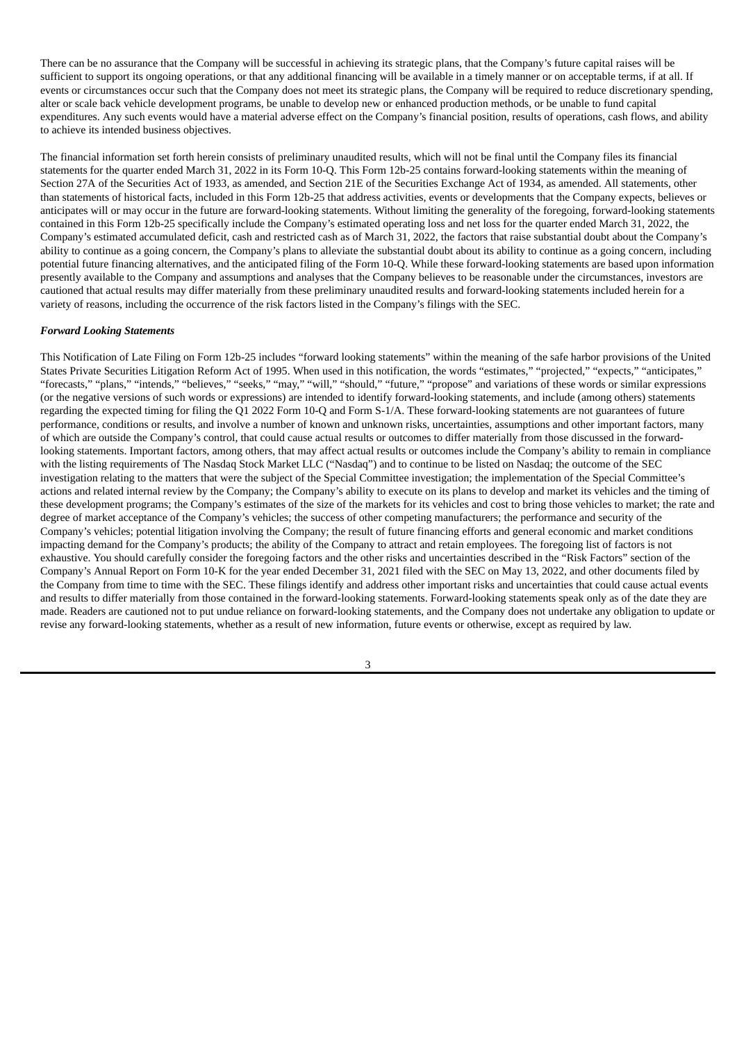There can be no assurance that the Company will be successful in achieving its strategic plans, that the Company's future capital raises will be sufficient to support its ongoing operations, or that any additional financing will be available in a timely manner or on acceptable terms, if at all. If events or circumstances occur such that the Company does not meet its strategic plans, the Company will be required to reduce discretionary spending, alter or scale back vehicle development programs, be unable to develop new or enhanced production methods, or be unable to fund capital expenditures. Any such events would have a material adverse effect on the Company's financial position, results of operations, cash flows, and ability to achieve its intended business objectives.

The financial information set forth herein consists of preliminary unaudited results, which will not be final until the Company files its financial statements for the quarter ended March 31, 2022 in its Form 10-Q. This Form 12b-25 contains forward-looking statements within the meaning of Section 27A of the Securities Act of 1933, as amended, and Section 21E of the Securities Exchange Act of 1934, as amended. All statements, other than statements of historical facts, included in this Form 12b-25 that address activities, events or developments that the Company expects, believes or anticipates will or may occur in the future are forward-looking statements. Without limiting the generality of the foregoing, forward-looking statements contained in this Form 12b-25 specifically include the Company's estimated operating loss and net loss for the quarter ended March 31, 2022, the Company's estimated accumulated deficit, cash and restricted cash as of March 31, 2022, the factors that raise substantial doubt about the Company's ability to continue as a going concern, the Company's plans to alleviate the substantial doubt about its ability to continue as a going concern, including potential future financing alternatives, and the anticipated filing of the Form 10-Q. While these forward-looking statements are based upon information presently available to the Company and assumptions and analyses that the Company believes to be reasonable under the circumstances, investors are cautioned that actual results may differ materially from these preliminary unaudited results and forward-looking statements included herein for a variety of reasons, including the occurrence of the risk factors listed in the Company's filings with the SEC.

#### *Forward Looking Statements*

This Notification of Late Filing on Form 12b-25 includes "forward looking statements" within the meaning of the safe harbor provisions of the United States Private Securities Litigation Reform Act of 1995. When used in this notification, the words "estimates," "projected," "expects," "anticipates," "forecasts," "plans," "intends," "believes," "seeks," "may," "will," "should," "future," "propose" and variations of these words or similar expressions (or the negative versions of such words or expressions) are intended to identify forward-looking statements, and include (among others) statements regarding the expected timing for filing the Q1 2022 Form 10-Q and Form S-1/A. These forward-looking statements are not guarantees of future performance, conditions or results, and involve a number of known and unknown risks, uncertainties, assumptions and other important factors, many of which are outside the Company's control, that could cause actual results or outcomes to differ materially from those discussed in the forwardlooking statements. Important factors, among others, that may affect actual results or outcomes include the Company's ability to remain in compliance with the listing requirements of The Nasdaq Stock Market LLC ("Nasdaq") and to continue to be listed on Nasdaq; the outcome of the SEC investigation relating to the matters that were the subject of the Special Committee investigation; the implementation of the Special Committee's actions and related internal review by the Company; the Company's ability to execute on its plans to develop and market its vehicles and the timing of these development programs; the Company's estimates of the size of the markets for its vehicles and cost to bring those vehicles to market; the rate and degree of market acceptance of the Company's vehicles; the success of other competing manufacturers; the performance and security of the Company's vehicles; potential litigation involving the Company; the result of future financing efforts and general economic and market conditions impacting demand for the Company's products; the ability of the Company to attract and retain employees. The foregoing list of factors is not exhaustive. You should carefully consider the foregoing factors and the other risks and uncertainties described in the "Risk Factors" section of the Company's Annual Report on Form 10-K for the year ended December 31, 2021 filed with the SEC on May 13, 2022, and other documents filed by the Company from time to time with the SEC. These filings identify and address other important risks and uncertainties that could cause actual events and results to differ materially from those contained in the forward-looking statements. Forward-looking statements speak only as of the date they are made. Readers are cautioned not to put undue reliance on forward-looking statements, and the Company does not undertake any obligation to update or revise any forward-looking statements, whether as a result of new information, future events or otherwise, except as required by law.

3